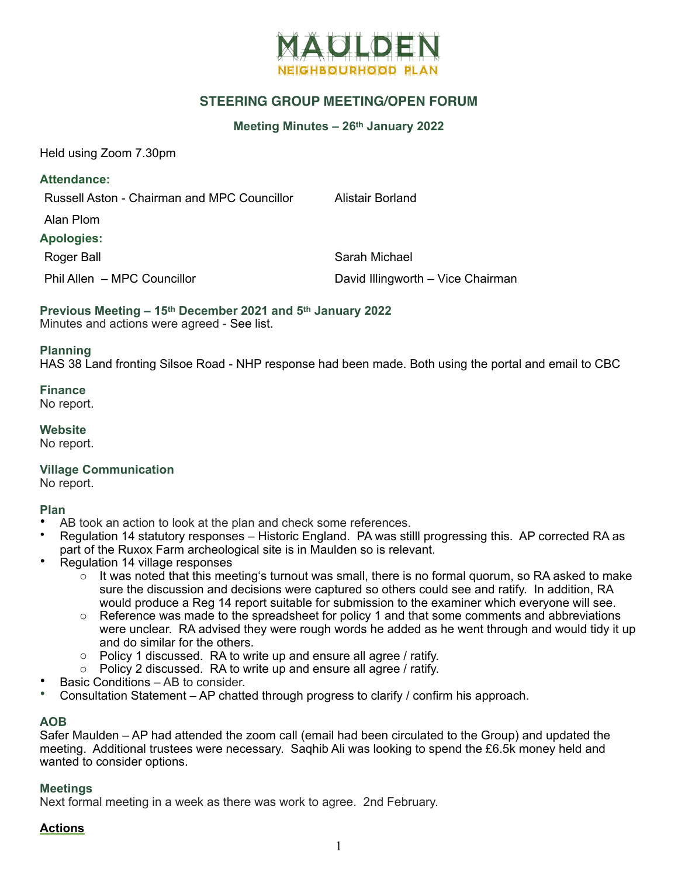

# **STEERING GROUP MEETING/OPEN FORUM**

#### **Meeting Minutes – 26th January 2022**

Held using Zoom 7.30pm

**Attendance:**

Russell Aston - Chairman and MPC Councillor Alistair Borland

Alan Plom

**Apologies:**

Roger Ball Sarah Michael

Phil Allen – MPC Councillor **David Illingworth – Vice Chairman** 

**Previous Meeting – 15th December 2021 and 5th January 2022** Minutes and actions were agreed - See list.

#### **Planning**

HAS 38 Land fronting Silsoe Road - NHP response had been made. Both using the portal and email to CBC

**Finance**

No report.

**Website**

No report.

**Village Communication**

No report.

## **Plan**

- AB took an action to look at the plan and check some references.
- Regulation 14 statutory responses Historic England. PA was stilll progressing this. AP corrected RA as part of the Ruxox Farm archeological site is in Maulden so is relevant.
- Regulation 14 village responses
	- $\circ$  It was noted that this meeting's turnout was small, there is no formal quorum, so RA asked to make sure the discussion and decisions were captured so others could see and ratify. In addition, RA would produce a Reg 14 report suitable for submission to the examiner which everyone will see.
	- $\circ$  Reference was made to the spreadsheet for policy 1 and that some comments and abbreviations were unclear. RA advised they were rough words he added as he went through and would tidy it up and do similar for the others.
	- o Policy 1 discussed. RA to write up and ensure all agree / ratify.
	- o Policy 2 discussed. RA to write up and ensure all agree / ratify.
- Basic Conditions AB to consider.
- Consultation Statement AP chatted through progress to clarify / confirm his approach.

## **AOB**

Safer Maulden – AP had attended the zoom call (email had been circulated to the Group) and updated the meeting. Additional trustees were necessary. Saqhib Ali was looking to spend the £6.5k money held and wanted to consider options.

#### **Meetings**

Next formal meeting in a week as there was work to agree. 2nd February.

## **Actions**